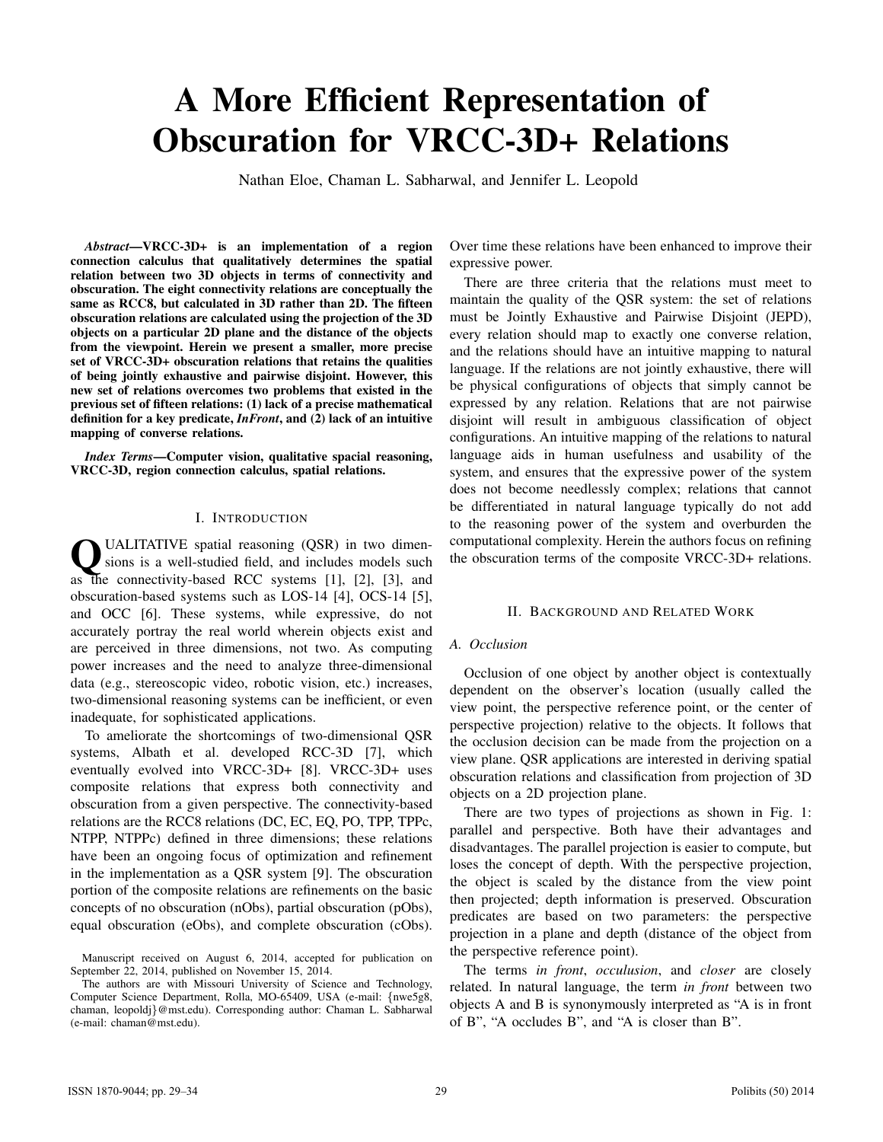# A More Efficient Representation of Obscuration for VRCC-3D+ Relations

Nathan Eloe, Chaman L. Sabharwal, and Jennifer L. Leopold

*Abstract*—VRCC-3D+ is an implementation of a region connection calculus that qualitatively determines the spatial relation between two 3D objects in terms of connectivity and obscuration. The eight connectivity relations are conceptually the same as RCC8, but calculated in 3D rather than 2D. The fifteen obscuration relations are calculated using the projection of the 3D objects on a particular 2D plane and the distance of the objects from the viewpoint. Herein we present a smaller, more precise set of VRCC-3D+ obscuration relations that retains the qualities of being jointly exhaustive and pairwise disjoint. However, this new set of relations overcomes two problems that existed in the previous set of fifteen relations: (1) lack of a precise mathematical definition for a key predicate, *InFront*, and (2) lack of an intuitive mapping of converse relations.

*Index Terms*—Computer vision, qualitative spacial reasoning, VRCC-3D, region connection calculus, spatial relations.

# I. INTRODUCTION

**Q** UALITATIVE spatial reasoning (QSR) in two dimensions is a well-studied field, and includes models such as the connectivity-based RCC systems [1], [2], [3], and UALITATIVE spatial reasoning (QSR) in two dimensions is a well-studied field, and includes models such obscuration-based systems such as LOS-14 [4], OCS-14 [5], and OCC [6]. These systems, while expressive, do not accurately portray the real world wherein objects exist and are perceived in three dimensions, not two. As computing power increases and the need to analyze three-dimensional data (e.g., stereoscopic video, robotic vision, etc.) increases, two-dimensional reasoning systems can be inefficient, or even inadequate, for sophisticated applications.

To ameliorate the shortcomings of two-dimensional QSR systems, Albath et al. developed RCC-3D [7], which eventually evolved into VRCC-3D+ [8]. VRCC-3D+ uses composite relations that express both connectivity and obscuration from a given perspective. The connectivity-based relations are the RCC8 relations (DC, EC, EQ, PO, TPP, TPPc, NTPP, NTPPc) defined in three dimensions; these relations have been an ongoing focus of optimization and refinement in the implementation as a QSR system [9]. The obscuration portion of the composite relations are refinements on the basic concepts of no obscuration (nObs), partial obscuration (pObs), equal obscuration (eObs), and complete obscuration (cObs). Over time these relations have been enhanced to improve their expressive power.

There are three criteria that the relations must meet to maintain the quality of the QSR system: the set of relations must be Jointly Exhaustive and Pairwise Disjoint (JEPD), every relation should map to exactly one converse relation, and the relations should have an intuitive mapping to natural language. If the relations are not jointly exhaustive, there will be physical configurations of objects that simply cannot be expressed by any relation. Relations that are not pairwise disjoint will result in ambiguous classification of object configurations. An intuitive mapping of the relations to natural language aids in human usefulness and usability of the system, and ensures that the expressive power of the system does not become needlessly complex; relations that cannot be differentiated in natural language typically do not add to the reasoning power of the system and overburden the computational complexity. Herein the authors focus on refining the obscuration terms of the composite VRCC-3D+ relations.

#### II. BACKGROUND AND RELATED WORK

# *A. Occlusion*

Occlusion of one object by another object is contextually dependent on the observer's location (usually called the view point, the perspective reference point, or the center of perspective projection) relative to the objects. It follows that the occlusion decision can be made from the projection on a view plane. QSR applications are interested in deriving spatial obscuration relations and classification from projection of 3D objects on a 2D projection plane.

There are two types of projections as shown in Fig. 1: parallel and perspective. Both have their advantages and disadvantages. The parallel projection is easier to compute, but loses the concept of depth. With the perspective projection, the object is scaled by the distance from the view point then projected; depth information is preserved. Obscuration predicates are based on two parameters: the perspective projection in a plane and depth (distance of the object from the perspective reference point).

The terms *in front*, *occulusion*, and *closer* are closely related. In natural language, the term *in front* between two objects A and B is synonymously interpreted as "A is in front of B", "A occludes B", and "A is closer than B".

Manuscript received on August 6, 2014, accepted for publication on September 22, 2014, published on November 15, 2014.

The authors are with Missouri University of Science and Technology, Computer Science Department, Rolla, MO-65409, USA (e-mail: {nwe5g8, chaman, leopoldj}@mst.edu). Corresponding author: Chaman L. Sabharwal (e-mail: chaman@mst.edu).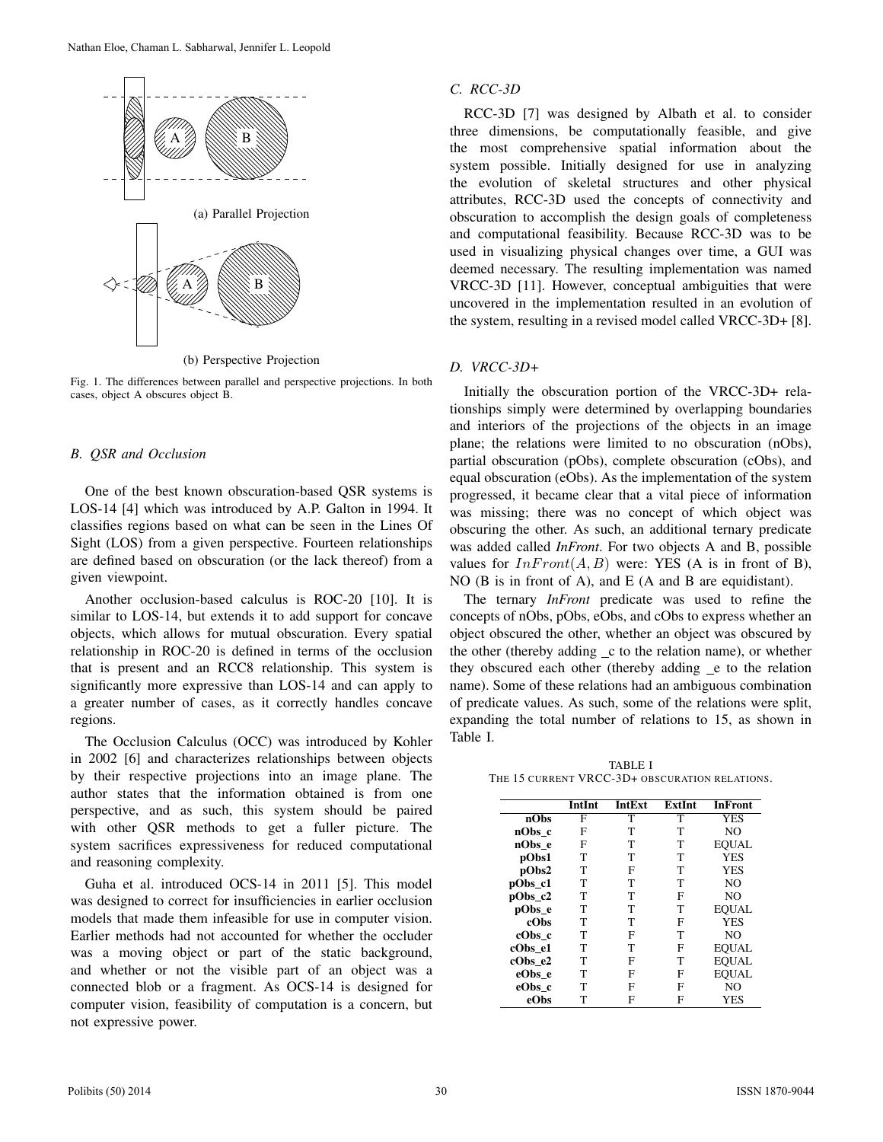

(b) Perspective Projection

Fig. 1. The differences between parallel and perspective projections. In both cases, object A obscures object B.

# *B. QSR and Occlusion*

One of the best known obscuration-based QSR systems is LOS-14 [4] which was introduced by A.P. Galton in 1994. It classifies regions based on what can be seen in the Lines Of Sight (LOS) from a given perspective. Fourteen relationships are defined based on obscuration (or the lack thereof) from a given viewpoint.

Another occlusion-based calculus is ROC-20 [10]. It is similar to LOS-14, but extends it to add support for concave objects, which allows for mutual obscuration. Every spatial relationship in ROC-20 is defined in terms of the occlusion that is present and an RCC8 relationship. This system is significantly more expressive than LOS-14 and can apply to a greater number of cases, as it correctly handles concave regions.

The Occlusion Calculus (OCC) was introduced by Kohler in 2002 [6] and characterizes relationships between objects by their respective projections into an image plane. The author states that the information obtained is from one perspective, and as such, this system should be paired with other QSR methods to get a fuller picture. The system sacrifices expressiveness for reduced computational and reasoning complexity.

Guha et al. introduced OCS-14 in 2011 [5]. This model was designed to correct for insufficiencies in earlier occlusion models that made them infeasible for use in computer vision. Earlier methods had not accounted for whether the occluder was a moving object or part of the static background, and whether or not the visible part of an object was a connected blob or a fragment. As OCS-14 is designed for computer vision, feasibility of computation is a concern, but not expressive power.

# *C. RCC-3D*

RCC-3D [7] was designed by Albath et al. to consider three dimensions, be computationally feasible, and give the most comprehensive spatial information about the system possible. Initially designed for use in analyzing the evolution of skeletal structures and other physical attributes, RCC-3D used the concepts of connectivity and obscuration to accomplish the design goals of completeness and computational feasibility. Because RCC-3D was to be used in visualizing physical changes over time, a GUI was deemed necessary. The resulting implementation was named VRCC-3D [11]. However, conceptual ambiguities that were uncovered in the implementation resulted in an evolution of the system, resulting in a revised model called VRCC-3D+ [8].

### *D. VRCC-3D+*

Initially the obscuration portion of the VRCC-3D+ relationships simply were determined by overlapping boundaries and interiors of the projections of the objects in an image plane; the relations were limited to no obscuration (nObs), partial obscuration (pObs), complete obscuration (cObs), and equal obscuration (eObs). As the implementation of the system progressed, it became clear that a vital piece of information was missing; there was no concept of which object was obscuring the other. As such, an additional ternary predicate was added called *InFront*. For two objects A and B, possible values for  $InFront(A, B)$  were: YES (A is in front of B), NO (B is in front of A), and E (A and B are equidistant).

The ternary *InFront* predicate was used to refine the concepts of nObs, pObs, eObs, and cObs to express whether an object obscured the other, whether an object was obscured by the other (thereby adding c to the relation name), or whether they obscured each other (thereby adding e to the relation name). Some of these relations had an ambiguous combination of predicate values. As such, some of the relations were split, expanding the total number of relations to 15, as shown in Table I.

TABLE I THE 15 CURRENT VRCC-3D+ OBSCURATION RELATIONS.

|         | <b>IntInt</b> | <b>IntExt</b> | <b>ExtInt</b> | <b>InFront</b> |
|---------|---------------|---------------|---------------|----------------|
| nObs    | F             | T             | T             | <b>YES</b>     |
| nObs_c  | F             | т             | т             | N <sub>O</sub> |
| nObs e  | F             | т             | T             | EOUAL          |
| pObs1   | т             | T             | T             | <b>YES</b>     |
| pObs2   | т             | F             | т             | <b>YES</b>     |
| pObs_c1 | т             | т             | т             | N <sub>O</sub> |
| pObs_c2 | T             | т             | F             | N <sub>O</sub> |
| pObs e  | т             | T             | т             | EOUAL          |
| cObs    | T             | T             | F             | <b>YES</b>     |
| cObs c  | т             | F             | т             | N <sub>O</sub> |
| cObs e1 | т             | T             | F             | <b>EOUAL</b>   |
| cObs e2 | т             | F             | T             | <b>EOUAL</b>   |
| eObs e  | т             | F             | F             | <b>EOUAL</b>   |
| eObs_c  | т             | F             | F             | N <sub>O</sub> |
| eObs    | т             | F             | F             | YES            |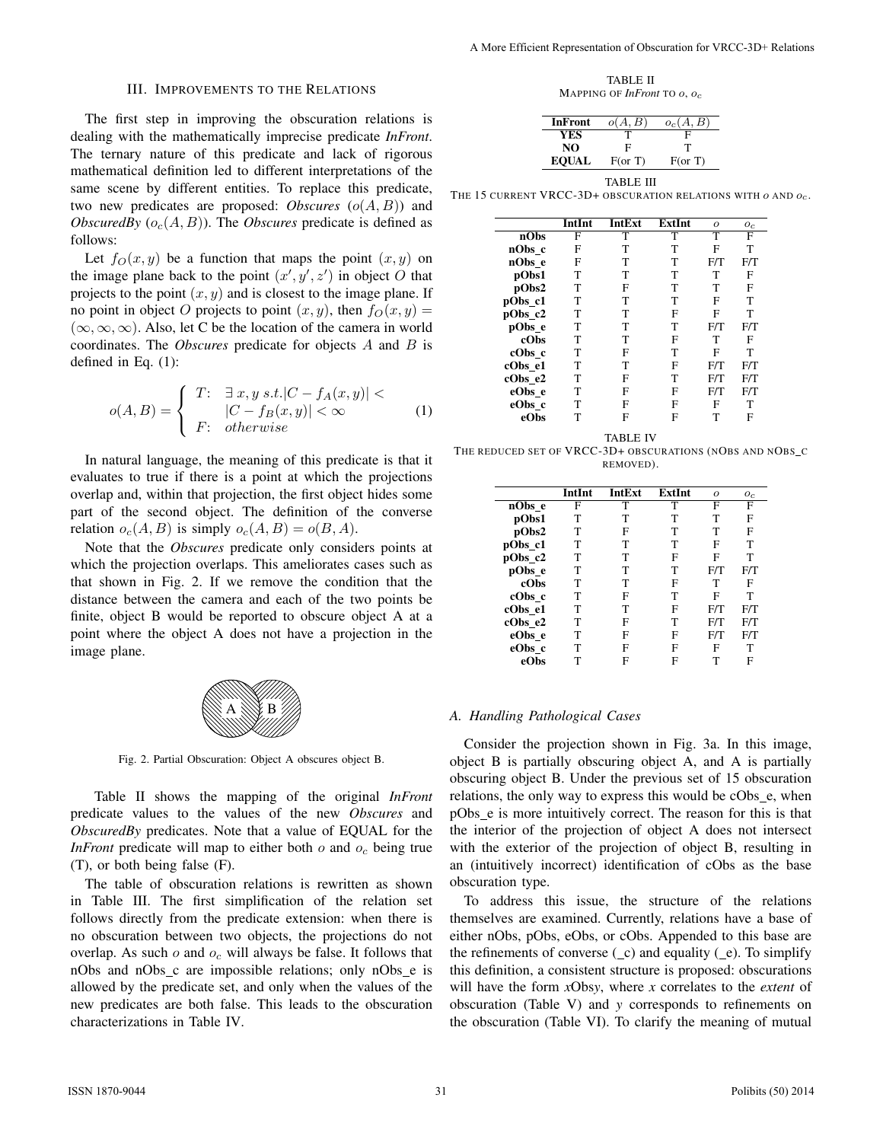#### III. IMPROVEMENTS TO THE RELATIONS

The first step in improving the obscuration relations is dealing with the mathematically imprecise predicate *InFront*. The ternary nature of this predicate and lack of rigorous mathematical definition led to different interpretations of the same scene by different entities. To replace this predicate, two new predicates are proposed: *Obscures*  $(o(A, B))$  and *ObscuredBy*  $(o_c(A, B))$ . The *Obscures* predicate is defined as follows:

Let  $f_O(x, y)$  be a function that maps the point  $(x, y)$  on the image plane back to the point  $(x', y', z')$  in object O that projects to the point  $(x, y)$  and is closest to the image plane. If no point in object O projects to point  $(x, y)$ , then  $f<sub>O</sub>(x, y)$  =  $(\infty, \infty, \infty)$ . Also, let C be the location of the camera in world coordinates. The *Obscures* predicate for objects A and B is defined in Eq. (1):

$$
o(A,B) = \begin{cases} T: & \exists x, y \ s.t. |C - f_A(x,y)| < \\ & |C - f_B(x,y)| < \infty \\ F: & otherwise \end{cases} \tag{1}
$$

In natural language, the meaning of this predicate is that it evaluates to true if there is a point at which the projections overlap and, within that projection, the first object hides some part of the second object. The definition of the converse relation  $o_c(A, B)$  is simply  $o_c(A, B) = o(B, A)$ .

Note that the *Obscures* predicate only considers points at which the projection overlaps. This ameliorates cases such as that shown in Fig. 2. If we remove the condition that the distance between the camera and each of the two points be finite, object B would be reported to obscure object A at a point where the object A does not have a projection in the image plane.



Fig. 2. Partial Obscuration: Object A obscures object B.

Table II shows the mapping of the original *InFront* predicate values to the values of the new *Obscures* and *ObscuredBy* predicates. Note that a value of EQUAL for the *InFront* predicate will map to either both  $o$  and  $o_c$  being true (T), or both being false (F).

The table of obscuration relations is rewritten as shown in Table III. The first simplification of the relation set follows directly from the predicate extension: when there is no obscuration between two objects, the projections do not overlap. As such  $o$  and  $o_c$  will always be false. It follows that nObs and nObs c are impossible relations; only nObs e is allowed by the predicate set, and only when the values of the new predicates are both false. This leads to the obscuration characterizations in Table IV.

TABLE II MAPPING OF *InFront* TO o, oc

| InFront      | o(A, B)       | $o_c(A, B)$   |
|--------------|---------------|---------------|
| YES          |               | F             |
| NO           | F             | т             |
| <b>EOUAL</b> | $F($ or T $)$ | $F($ or T $)$ |
|              |               |               |

TABLE III

THE 15 CURRENT VRCC-3D+ OBSCURATION RELATIONS WITH  $o$  and  $o_c$ .

|         | IntInt | IntExt | ExtInt | $\Omega$ | $O_C$ |
|---------|--------|--------|--------|----------|-------|
| nObs    | F      | т      | T      | т        | F     |
| nObs c  | F      | т      | T      | F        | т     |
| nObs e  | F      | т      | т      | F/T      | F/T   |
| pObs1   | T      | т      | T      | T        | F     |
| pObs2   | т      | F      | т      | т        | F     |
| pObs c1 | т      | т      | т      | F        | T     |
| pObs c2 | т      | т      | F      | F        | т     |
| pObs e  | т      | т      | т      | F/T      | F/T   |
| cObs    | т      | т      | F      | т        | F     |
| cObs c  | т      | F      | т      | F        | т     |
| cObs e1 | т      | т      | F      | F/T      | F/T   |
| cObs_e2 | т      | F      | т      | F/T      | F/T   |
| eObs e  | т      | F      | F      | F/T      | F/T   |
| eObs_c  | т      | F      | F      | F        | T     |
| eObs    |        | F      | F      | т        | F     |

TABLE IV THE REDUCED SET OF VRCC-3D+ OBSCURATIONS (NOBS AND NOBS\_C REMOVED).

|         | <b>IntInt</b> | <b>IntExt</b> | <b>ExtInt</b> | $\Omega$ | $O_C$ |
|---------|---------------|---------------|---------------|----------|-------|
| nObs e  | F             | T             | T             | F        | F     |
| pObs1   | т             | т             | T             | т        | F     |
| pObs2   | т             | F             | T             | т        | F     |
| pObs_c1 | т             | т             | т             | F        | т     |
| pObs_c2 | т             | т             | F             | F        | т     |
| pObs_e  | т             | т             | т             | F/T      | F/T   |
| cObs    | т             | т             | F             | т        | F     |
| cObs_c  | т             | F             | т             | F        | т     |
| cObs e1 | т             | т             | F             | F/T      | F/T   |
| cObs_e2 | т             | F             | т             | F/T      | F/T   |
| eObs e  | т             | F             | F             | F/T      | F/T   |
| eObs_c  | т             | F             | F             | F        | т     |
| eObs    | т             | F             | F             |          | F     |

# *A. Handling Pathological Cases*

Consider the projection shown in Fig. 3a. In this image, object B is partially obscuring object A, and A is partially obscuring object B. Under the previous set of 15 obscuration relations, the only way to express this would be cObs e, when pObs e is more intuitively correct. The reason for this is that the interior of the projection of object A does not intersect with the exterior of the projection of object B, resulting in an (intuitively incorrect) identification of cObs as the base obscuration type.

To address this issue, the structure of the relations themselves are examined. Currently, relations have a base of either nObs, pObs, eObs, or cObs. Appended to this base are the refinements of converse  $(c)$  and equality  $(e)$ . To simplify this definition, a consistent structure is proposed: obscurations will have the form *x*Obs*y*, where *x* correlates to the *extent* of obscuration (Table V) and *y* corresponds to refinements on the obscuration (Table VI). To clarify the meaning of mutual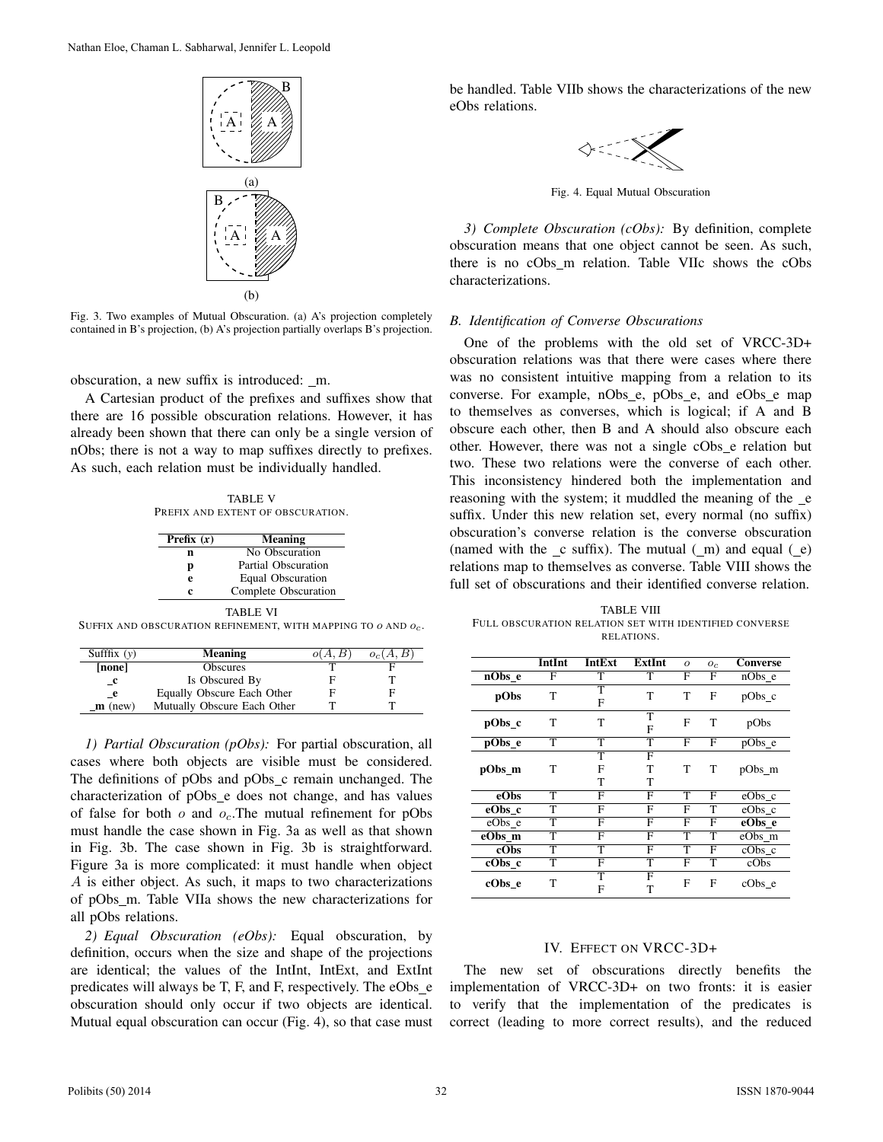

Fig. 3. Two examples of Mutual Obscuration. (a) A's projection completely contained in B's projection, (b) A's projection partially overlaps B's projection.

obscuration, a new suffix is introduced: \_m.

A Cartesian product of the prefixes and suffixes show that there are 16 possible obscuration relations. However, it has already been shown that there can only be a single version of nObs; there is not a way to map suffixes directly to prefixes. As such, each relation must be individually handled.

TABLE V PREFIX AND EXTENT OF OBSCURATION.

| Prefix $(x)$ | Meaning              |
|--------------|----------------------|
| n            | No Obscuration       |
| р            | Partial Obscuration  |
| e            | Equal Obscuration    |
| c            | Complete Obscuration |
|              | TABLE VI             |

SUFFIX AND OBSCURATION REFINEMENT, WITH MAPPING TO  $o$  AND  $o_{c}.$ 

| Sufffix $(y)$      | <b>Meaning</b>              | o(A, B) | $o_c(A, B)$ |
|--------------------|-----------------------------|---------|-------------|
| [none]             | <b>Obscures</b>             |         |             |
| $\mathbf{r}$       | Is Obscured By              |         |             |
| $\mathbf{e}$       | Equally Obscure Each Other  |         | F           |
| $\mathbf{m}$ (new) | Mutually Obscure Each Other |         |             |

*1) Partial Obscuration (pObs):* For partial obscuration, all cases where both objects are visible must be considered. The definitions of pObs and pObs\_c remain unchanged. The characterization of pObs e does not change, and has values of false for both  $o$  and  $o_c$ . The mutual refinement for pObs must handle the case shown in Fig. 3a as well as that shown in Fig. 3b. The case shown in Fig. 3b is straightforward. Figure 3a is more complicated: it must handle when object A is either object. As such, it maps to two characterizations of pObs\_m. Table VIIa shows the new characterizations for all pObs relations.

*2) Equal Obscuration (eObs):* Equal obscuration, by definition, occurs when the size and shape of the projections are identical; the values of the IntInt, IntExt, and ExtInt predicates will always be T, F, and F, respectively. The eObs\_e obscuration should only occur if two objects are identical. Mutual equal obscuration can occur (Fig. 4), so that case must be handled. Table VIIb shows the characterizations of the new eObs relations.



Fig. 4. Equal Mutual Obscuration

*3) Complete Obscuration (cObs):* By definition, complete obscuration means that one object cannot be seen. As such, there is no cObs m relation. Table VIIc shows the cObs characterizations.

# *B. Identification of Converse Obscurations*

One of the problems with the old set of VRCC-3D+ obscuration relations was that there were cases where there was no consistent intuitive mapping from a relation to its converse. For example, nObs\_e, pObs\_e, and eObs\_e map to themselves as converses, which is logical; if A and B obscure each other, then B and A should also obscure each other. However, there was not a single cObs e relation but two. These two relations were the converse of each other. This inconsistency hindered both the implementation and reasoning with the system; it muddled the meaning of the e suffix. Under this new relation set, every normal (no suffix) obscuration's converse relation is the converse obscuration (named with the  $\mathcal L$  suffix). The mutual  $(\mathcal L m)$  and equal  $(\mathcal L e)$ relations map to themselves as converse. Table VIII shows the full set of obscurations and their identified converse relation.

TABLE VIII FULL OBSCURATION RELATION SET WITH IDENTIFIED CONVERSE RELATIONS.

|          | IntInt | IntExt      | <b>ExtInt</b> | $\Omega$ | $O_C$ | <b>Converse</b> |
|----------|--------|-------------|---------------|----------|-------|-----------------|
| $nObs$ e | F      | T           | т             | F        | F     | nObs e          |
| pObs     | T      | т<br>F      | т             | т        | F     | pObs_c          |
| pObs_c   | T      | T           | т<br>F        | F        | т     | pObs            |
| pObs e   | T      | т           | т             | F        | F     | pObs_e          |
| pObs_m   | T      | т<br>F<br>T | F<br>т<br>т   | т        | т     | pObs_m          |
| eObs     | T      | F           | F             | т        | F     | eObs_c          |
| eObs c   | T      | F           | F             | F        | т     | eObs c          |
| eObs_e   | T      | F           | F             | F        | F     | eObs_e          |
| eObs_m   | T      | F           | F             | T        | т     | eObs_m          |
| cObs     | т      | т           | F             | т        | F     | $cObs_c$        |
| cObs c   | T      | F           | т             | F        | т     | cObs            |
| cObs e   | т      | т<br>F      | F<br>т        | F        | F     | cObs e          |

# IV. EFFECT ON VRCC-3D+

The new set of obscurations directly benefits the implementation of VRCC-3D+ on two fronts: it is easier to verify that the implementation of the predicates is correct (leading to more correct results), and the reduced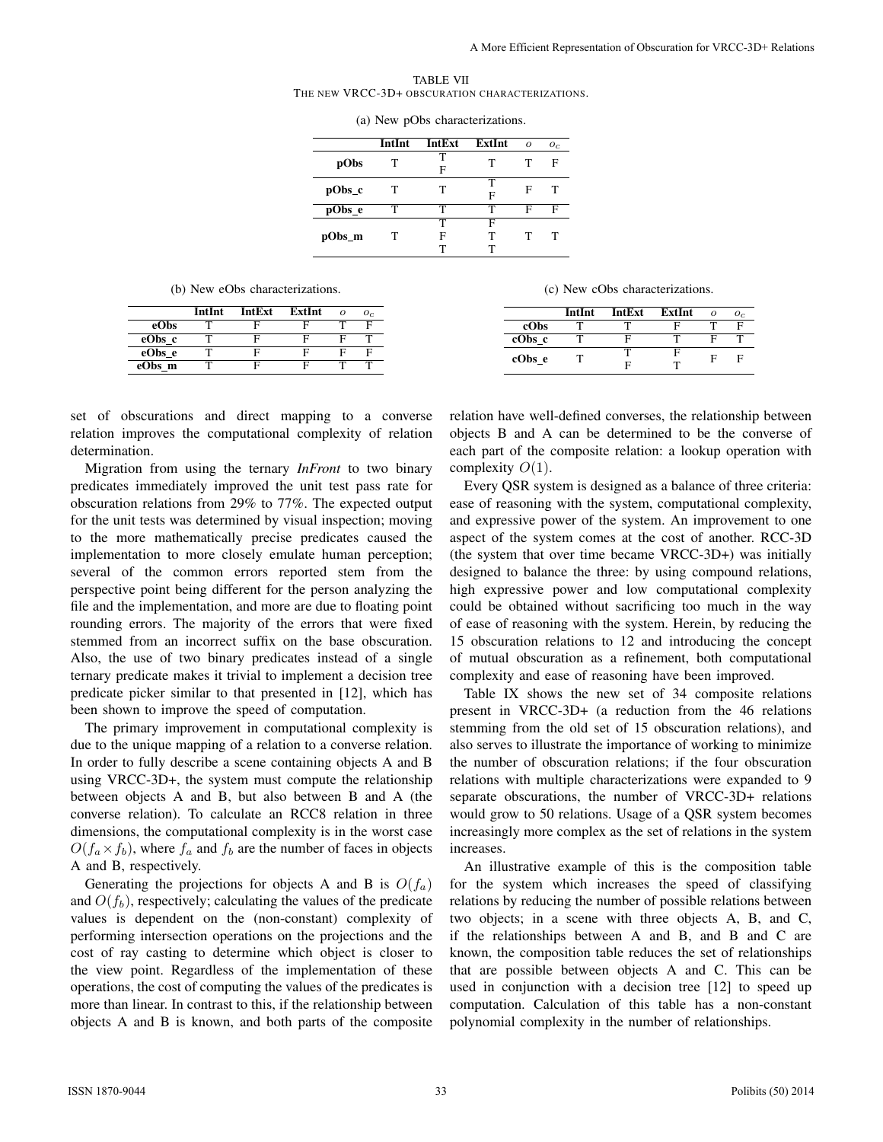TABLE VII THE NEW VRCC-3D+ OBSCURATION CHARACTERIZATIONS.

|        | IntInt | IntExt      | <b>ExtInt</b> | $\Omega$ | $O_C$ |  |
|--------|--------|-------------|---------------|----------|-------|--|
| pObs   | т      | т<br>F      | т             | т        | F     |  |
| pObs_c | т      | т           | т<br>F        | F        | т     |  |
| pObs_e | т      | т           | т             | F        | F     |  |
| pObs_m | т      | т<br>F<br>т | F<br>т        | т        | т     |  |
|        |        |             |               |          |       |  |

(a) New pObs characterizations.

(b) New eObs characterizations.

|        | IntInt | IntExt | ExtInt |   | $O_C$ |
|--------|--------|--------|--------|---|-------|
| eObs   |        |        |        |   | Е     |
| eObs c |        | F      |        | E |       |
| eObs e |        | F      |        | Е |       |
| eObs m |        |        |        |   |       |
|        |        |        |        |   |       |

(c) New cObs characterizations.

|        | IntInt | <b>IntExt</b> | ExtInt |   | $O_C$ |
|--------|--------|---------------|--------|---|-------|
| cObs   |        |               |        |   |       |
| cObs c |        | ы             |        |   |       |
| cObs e |        |               |        | F |       |
|        |        | Е             |        |   |       |

set of obscurations and direct mapping to a converse relation improves the computational complexity of relation determination.

Migration from using the ternary *InFront* to two binary predicates immediately improved the unit test pass rate for obscuration relations from 29% to 77%. The expected output for the unit tests was determined by visual inspection; moving to the more mathematically precise predicates caused the implementation to more closely emulate human perception; several of the common errors reported stem from the perspective point being different for the person analyzing the file and the implementation, and more are due to floating point rounding errors. The majority of the errors that were fixed stemmed from an incorrect suffix on the base obscuration. Also, the use of two binary predicates instead of a single ternary predicate makes it trivial to implement a decision tree predicate picker similar to that presented in [12], which has been shown to improve the speed of computation.

The primary improvement in computational complexity is due to the unique mapping of a relation to a converse relation. In order to fully describe a scene containing objects A and B using VRCC-3D+, the system must compute the relationship between objects A and B, but also between B and A (the converse relation). To calculate an RCC8 relation in three dimensions, the computational complexity is in the worst case  $O(f_a \times f_b)$ , where  $f_a$  and  $f_b$  are the number of faces in objects A and B, respectively.

Generating the projections for objects A and B is  $O(f_a)$ and  $O(f_b)$ , respectively; calculating the values of the predicate values is dependent on the (non-constant) complexity of performing intersection operations on the projections and the cost of ray casting to determine which object is closer to the view point. Regardless of the implementation of these operations, the cost of computing the values of the predicates is more than linear. In contrast to this, if the relationship between objects A and B is known, and both parts of the composite relation have well-defined converses, the relationship between objects B and A can be determined to be the converse of each part of the composite relation: a lookup operation with complexity  $O(1)$ .

Every QSR system is designed as a balance of three criteria: ease of reasoning with the system, computational complexity, and expressive power of the system. An improvement to one aspect of the system comes at the cost of another. RCC-3D (the system that over time became VRCC-3D+) was initially designed to balance the three: by using compound relations, high expressive power and low computational complexity could be obtained without sacrificing too much in the way of ease of reasoning with the system. Herein, by reducing the 15 obscuration relations to 12 and introducing the concept of mutual obscuration as a refinement, both computational complexity and ease of reasoning have been improved.

Table IX shows the new set of 34 composite relations present in VRCC-3D+ (a reduction from the 46 relations stemming from the old set of 15 obscuration relations), and also serves to illustrate the importance of working to minimize the number of obscuration relations; if the four obscuration relations with multiple characterizations were expanded to 9 separate obscurations, the number of VRCC-3D+ relations would grow to 50 relations. Usage of a QSR system becomes increasingly more complex as the set of relations in the system increases.

An illustrative example of this is the composition table for the system which increases the speed of classifying relations by reducing the number of possible relations between two objects; in a scene with three objects A, B, and C, if the relationships between A and B, and B and C are known, the composition table reduces the set of relationships that are possible between objects A and C. This can be used in conjunction with a decision tree [12] to speed up computation. Calculation of this table has a non-constant polynomial complexity in the number of relationships.